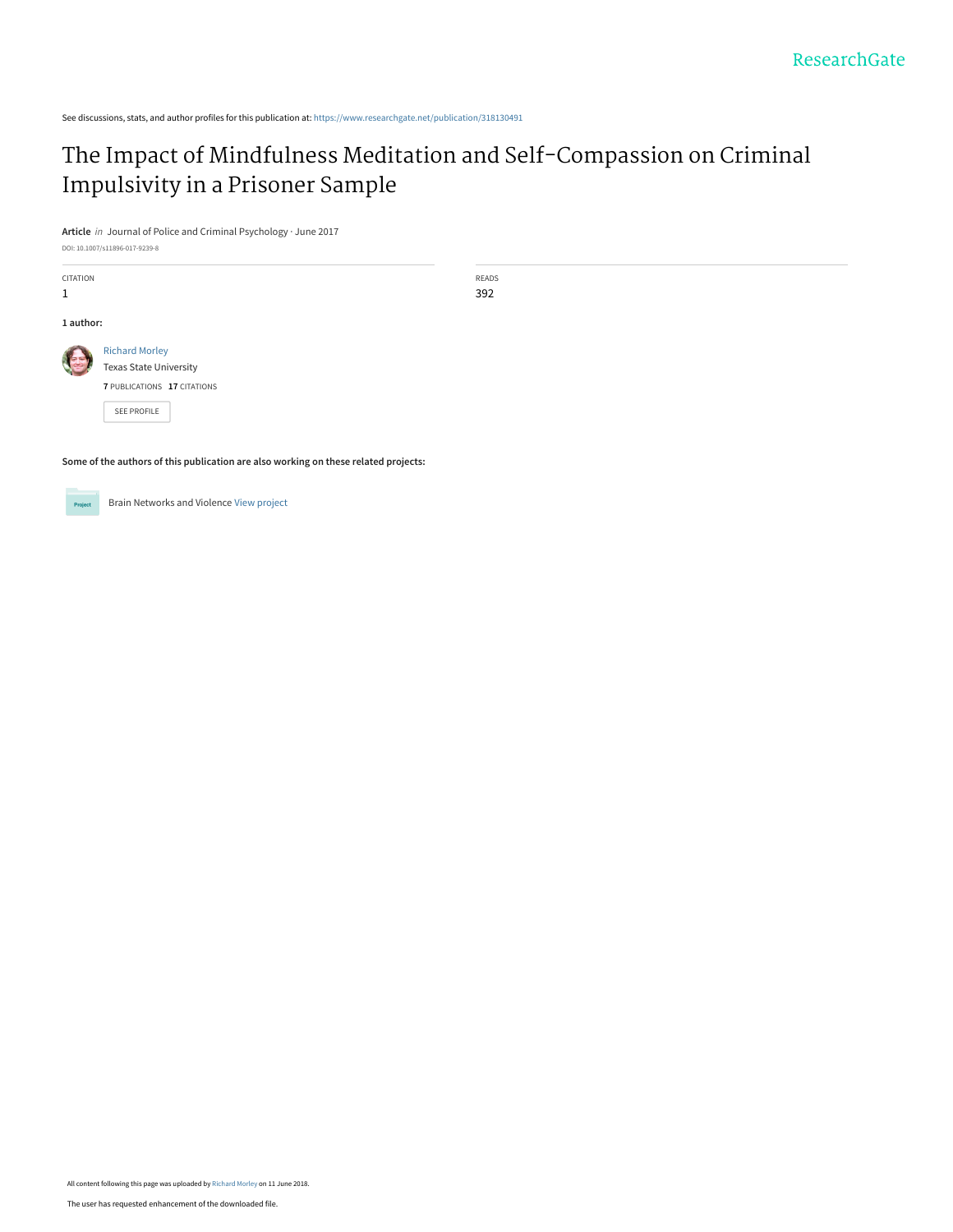# [The Impact of Mindfulness Meditation and Self-Compassion on Criminal](https://www.researchgate.net/publication/318130491_The_Impact_of_Mindfulness_Meditation_and_Self-Compassion_on_Criminal_Impulsivity_in_a_Prisoner_Sample?enrichId=rgreq-ffd078fb34ad49e19319d34d46754c5d-XXX&enrichSource=Y292ZXJQYWdlOzMxODEzMDQ5MTtBUzo2MzY0MTkyMjc3OTU0NTdAMTUyODc0NTU3NjgyOQ%3D%3D&el=1_x_3&_esc=publicationCoverPdf) Impulsivity in a Prisoner Sample

READS 392

**Article** in Journal of Police and Criminal Psychology · June 2017

DOI: 10.1007/s11896-017-9239-8

| <b>CITATION</b><br>1 |                                                                                       |
|----------------------|---------------------------------------------------------------------------------------|
| 1 author:            |                                                                                       |
|                      | <b>Richard Morley</b><br><b>Texas State University</b><br>7 PUBLICATIONS 17 CITATIONS |
|                      | <b>SEE PROFILE</b>                                                                    |

Brain Networks and Violence [View project](https://www.researchgate.net/project/Brain-Networks-and-Violence?enrichId=rgreq-ffd078fb34ad49e19319d34d46754c5d-XXX&enrichSource=Y292ZXJQYWdlOzMxODEzMDQ5MTtBUzo2MzY0MTkyMjc3OTU0NTdAMTUyODc0NTU3NjgyOQ%3D%3D&el=1_x_9&_esc=publicationCoverPdf)

**Some of the authors of this publication are also working on these related projects:**

Project

All content following this page was uploaded by [Richard Morley](https://www.researchgate.net/profile/Richard_Morley3?enrichId=rgreq-ffd078fb34ad49e19319d34d46754c5d-XXX&enrichSource=Y292ZXJQYWdlOzMxODEzMDQ5MTtBUzo2MzY0MTkyMjc3OTU0NTdAMTUyODc0NTU3NjgyOQ%3D%3D&el=1_x_10&_esc=publicationCoverPdf) on 11 June 2018.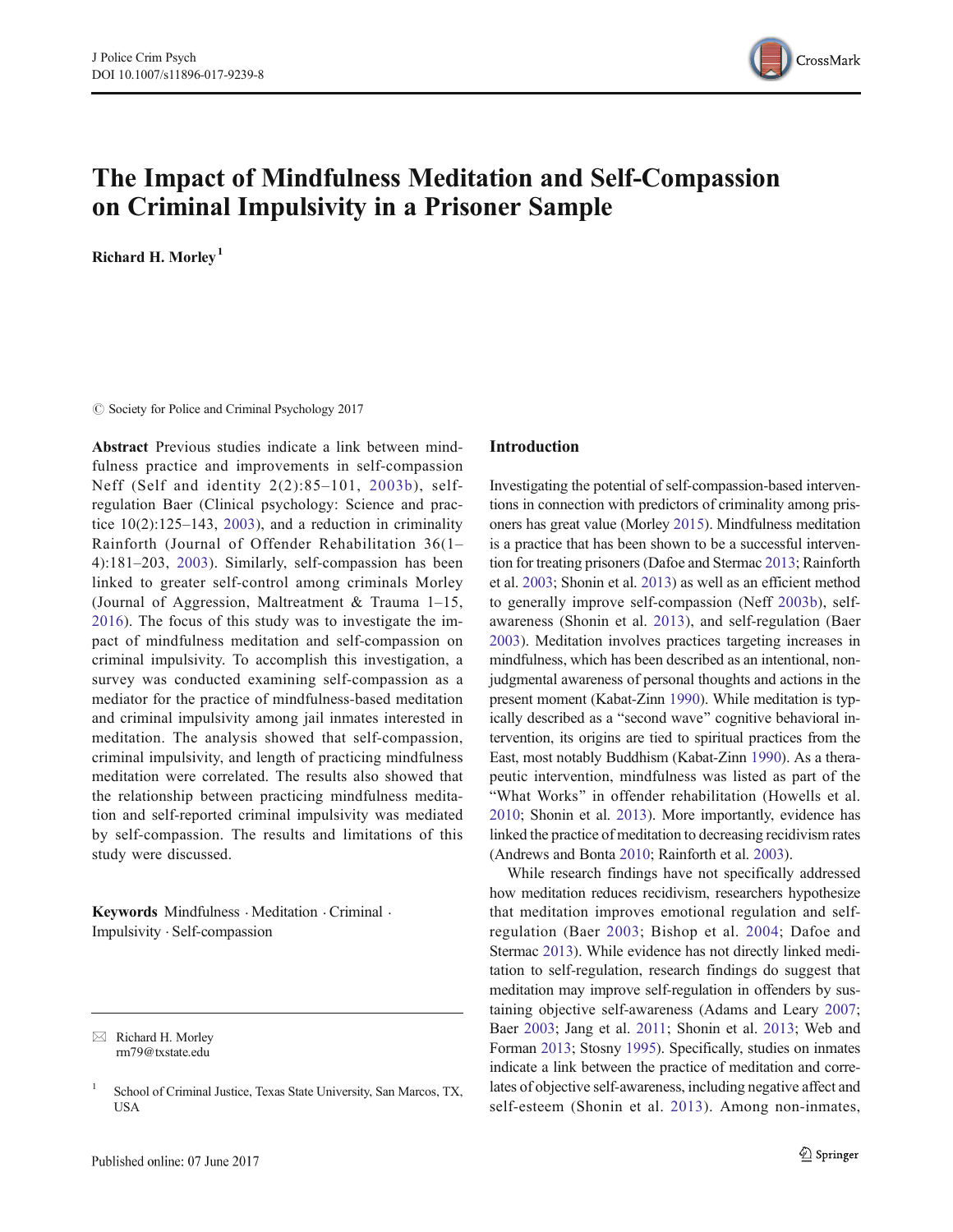

# The Impact of Mindfulness Meditation and Self-Compassion on Criminal Impulsivity in a Prisoner Sample

Richard H. Morley<sup>1</sup>

 $\circ$  Society for Police and Criminal Psychology 2017

Abstract Previous studies indicate a link between mindfulness practice and improvements in self-compassion Neff (Self and identity 2(2):85–101, 2003b), selfregulation Baer (Clinical psychology: Science and practice  $10(2):125-143$ ,  $2003$ ), and a reduction in criminality Rainforth (Journal of Offender Rehabilitation 36(1– 4):181–203, 2003). Similarly, self-compassion has been linked to greater self-control among criminals Morley (Journal of Aggression, Maltreatment  $&$  Trauma 1–15, 2016). The focus of this study was to investigate the impact of mindfulness meditation and self-compassion on criminal impulsivity. To accomplish this investigation, a survey was conducted examining self-compassion as a mediator for the practice of mindfulness-based meditation and criminal impulsivity among jail inmates interested in meditation. The analysis showed that self-compassion, criminal impulsivity, and length of practicing mindfulness meditation were correlated. The results also showed that the relationship between practicing mindfulness meditation and self-reported criminal impulsivity was mediated by self-compassion. The results and limitations of this study were discussed.

Keywords Mindfulness · Meditation · Criminal · Impulsivity . Self-compassion

 $\boxtimes$  Richard H. Morley rm79@txstate.edu

#### Introduction

Investigating the potential of self-compassion-based interventions in connection with predictors of criminality among prisoners has great value (Morley 2015). Mindfulness meditation is a practice that has been shown to be a successful intervention for treating prisoners (Dafoe and Stermac 2013; Rainforth et al. 2003; Shonin et al. 2013) as well as an efficient method to generally improve self-compassion (Neff 2003b), selfawareness (Shonin et al. 2013), and self-regulation (Baer 2003). Meditation involves practices targeting increases in mindfulness, which has been described as an intentional, nonjudgmental awareness of personal thoughts and actions in the present moment (Kabat-Zinn 1990). While meditation is typically described as a "second wave" cognitive behavioral intervention, its origins are tied to spiritual practices from the East, most notably Buddhism (Kabat-Zinn 1990). As a therapeutic intervention, mindfulness was listed as part of the "What Works" in offender rehabilitation (Howells et al. 2010; Shonin et al. 2013). More importantly, evidence has linked the practice of meditation to decreasing recidivism rates (Andrews and Bonta 2010; Rainforth et al. 2003).

While research findings have not specifically addressed how meditation reduces recidivism, researchers hypothesize that meditation improves emotional regulation and selfregulation (Baer 2003; Bishop et al. 2004; Dafoe and Stermac 2013). While evidence has not directly linked meditation to self-regulation, research findings do suggest that meditation may improve self-regulation in offenders by sustaining objective self-awareness (Adams and Leary 2007; Baer 2003; Jang et al. 2011; Shonin et al. 2013; Web and Forman 2013; Stosny 1995). Specifically, studies on inmates indicate a link between the practice of meditation and correlates of objective self-awareness, including negative affect and self-esteem (Shonin et al. 2013). Among non-inmates,

<sup>&</sup>lt;sup>1</sup> School of Criminal Justice, Texas State University, San Marcos, TX, USA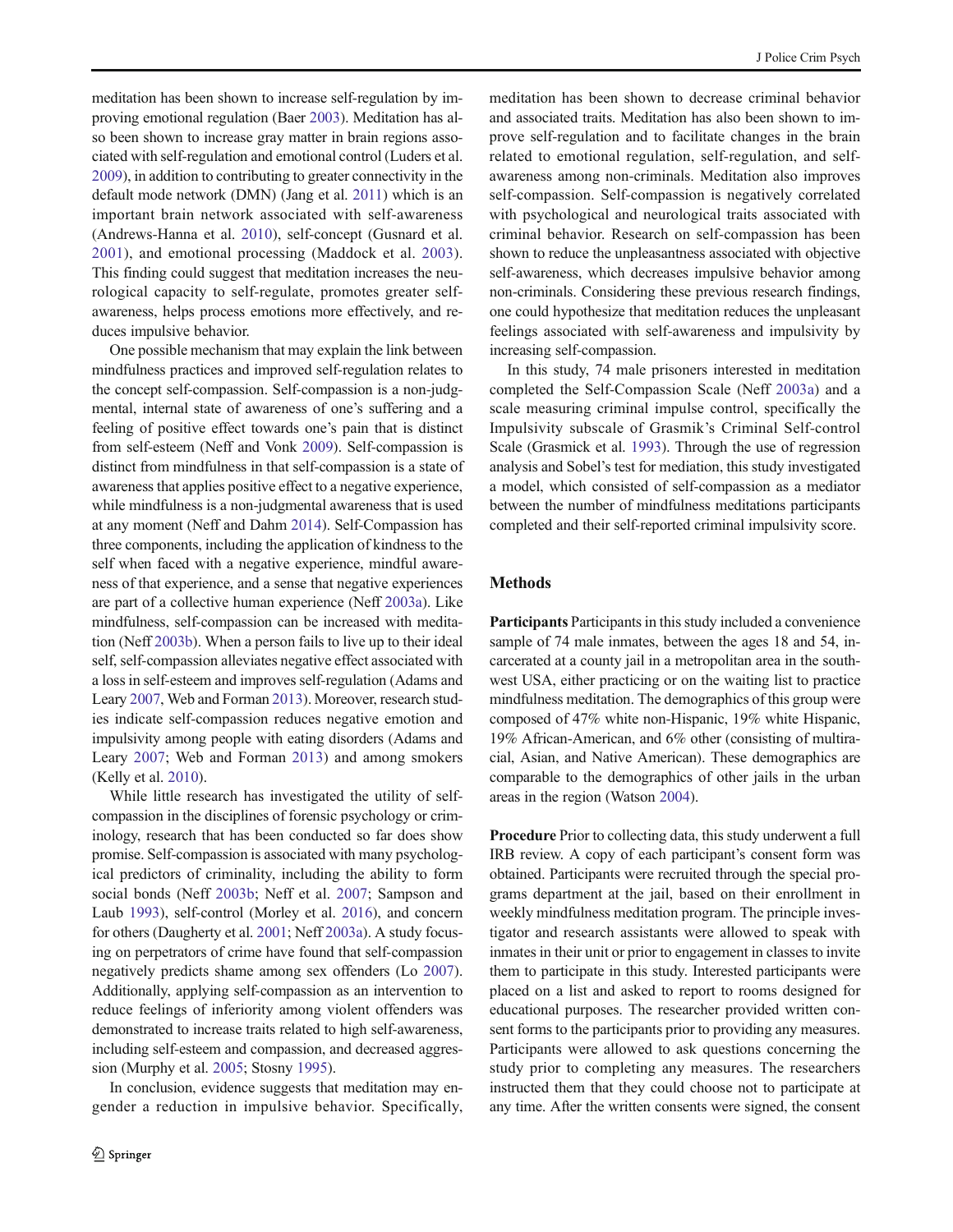meditation has been shown to increase self-regulation by improving emotional regulation (Baer 2003). Meditation has also been shown to increase gray matter in brain regions associated with self-regulation and emotional control (Luders et al. 2009), in addition to contributing to greater connectivity in the default mode network (DMN) (Jang et al. 2011) which is an important brain network associated with self-awareness (Andrews-Hanna et al. 2010), self-concept (Gusnard et al. 2001), and emotional processing (Maddock et al. 2003). This finding could suggest that meditation increases the neurological capacity to self-regulate, promotes greater selfawareness, helps process emotions more effectively, and reduces impulsive behavior.

One possible mechanism that may explain the link between mindfulness practices and improved self-regulation relates to the concept self-compassion. Self-compassion is a non-judgmental, internal state of awareness of one's suffering and a feeling of positive effect towards one's pain that is distinct from self-esteem (Neff and Vonk 2009). Self-compassion is distinct from mindfulness in that self-compassion is a state of awareness that applies positive effect to a negative experience, while mindfulness is a non-judgmental awareness that is used at any moment (Neff and Dahm 2014). Self-Compassion has three components, including the application of kindness to the self when faced with a negative experience, mindful awareness of that experience, and a sense that negative experiences are part of a collective human experience (Neff 2003a). Like mindfulness, self-compassion can be increased with meditation (Neff 2003b). When a person fails to live up to their ideal self, self-compassion alleviates negative effect associated with a loss in self-esteem and improves self-regulation (Adams and Leary 2007, Web and Forman 2013). Moreover, research studies indicate self-compassion reduces negative emotion and impulsivity among people with eating disorders (Adams and Leary 2007; Web and Forman 2013) and among smokers (Kelly et al. 2010).

While little research has investigated the utility of selfcompassion in the disciplines of forensic psychology or criminology, research that has been conducted so far does show promise. Self-compassion is associated with many psychological predictors of criminality, including the ability to form social bonds (Neff 2003b; Neff et al. 2007; Sampson and Laub 1993), self-control (Morley et al. 2016), and concern for others (Daugherty et al. 2001; Neff 2003a). A study focusing on perpetrators of crime have found that self-compassion negatively predicts shame among sex offenders (Lo 2007). Additionally, applying self-compassion as an intervention to reduce feelings of inferiority among violent offenders was demonstrated to increase traits related to high self-awareness, including self-esteem and compassion, and decreased aggression (Murphy et al. 2005; Stosny 1995).

In conclusion, evidence suggests that meditation may engender a reduction in impulsive behavior. Specifically, meditation has been shown to decrease criminal behavior and associated traits. Meditation has also been shown to improve self-regulation and to facilitate changes in the brain related to emotional regulation, self-regulation, and selfawareness among non-criminals. Meditation also improves self-compassion. Self-compassion is negatively correlated with psychological and neurological traits associated with criminal behavior. Research on self-compassion has been shown to reduce the unpleasantness associated with objective self-awareness, which decreases impulsive behavior among non-criminals. Considering these previous research findings, one could hypothesize that meditation reduces the unpleasant feelings associated with self-awareness and impulsivity by increasing self-compassion.

In this study, 74 male prisoners interested in meditation completed the Self-Compassion Scale (Neff 2003a) and a scale measuring criminal impulse control, specifically the Impulsivity subscale of Grasmik's Criminal Self-control Scale (Grasmick et al. 1993). Through the use of regression analysis and Sobel's test for mediation, this study investigated a model, which consisted of self-compassion as a mediator between the number of mindfulness meditations participants completed and their self-reported criminal impulsivity score.

#### Methods

Participants Participants in this study included a convenience sample of 74 male inmates, between the ages 18 and 54, incarcerated at a county jail in a metropolitan area in the southwest USA, either practicing or on the waiting list to practice mindfulness meditation. The demographics of this group were composed of 47% white non-Hispanic, 19% white Hispanic, 19% African-American, and 6% other (consisting of multiracial, Asian, and Native American). These demographics are comparable to the demographics of other jails in the urban areas in the region (Watson 2004).

Procedure Prior to collecting data, this study underwent a full IRB review. A copy of each participant's consent form was obtained. Participants were recruited through the special programs department at the jail, based on their enrollment in weekly mindfulness meditation program. The principle investigator and research assistants were allowed to speak with inmates in their unit or prior to engagement in classes to invite them to participate in this study. Interested participants were placed on a list and asked to report to rooms designed for educational purposes. The researcher provided written consent forms to the participants prior to providing any measures. Participants were allowed to ask questions concerning the study prior to completing any measures. The researchers instructed them that they could choose not to participate at any time. After the written consents were signed, the consent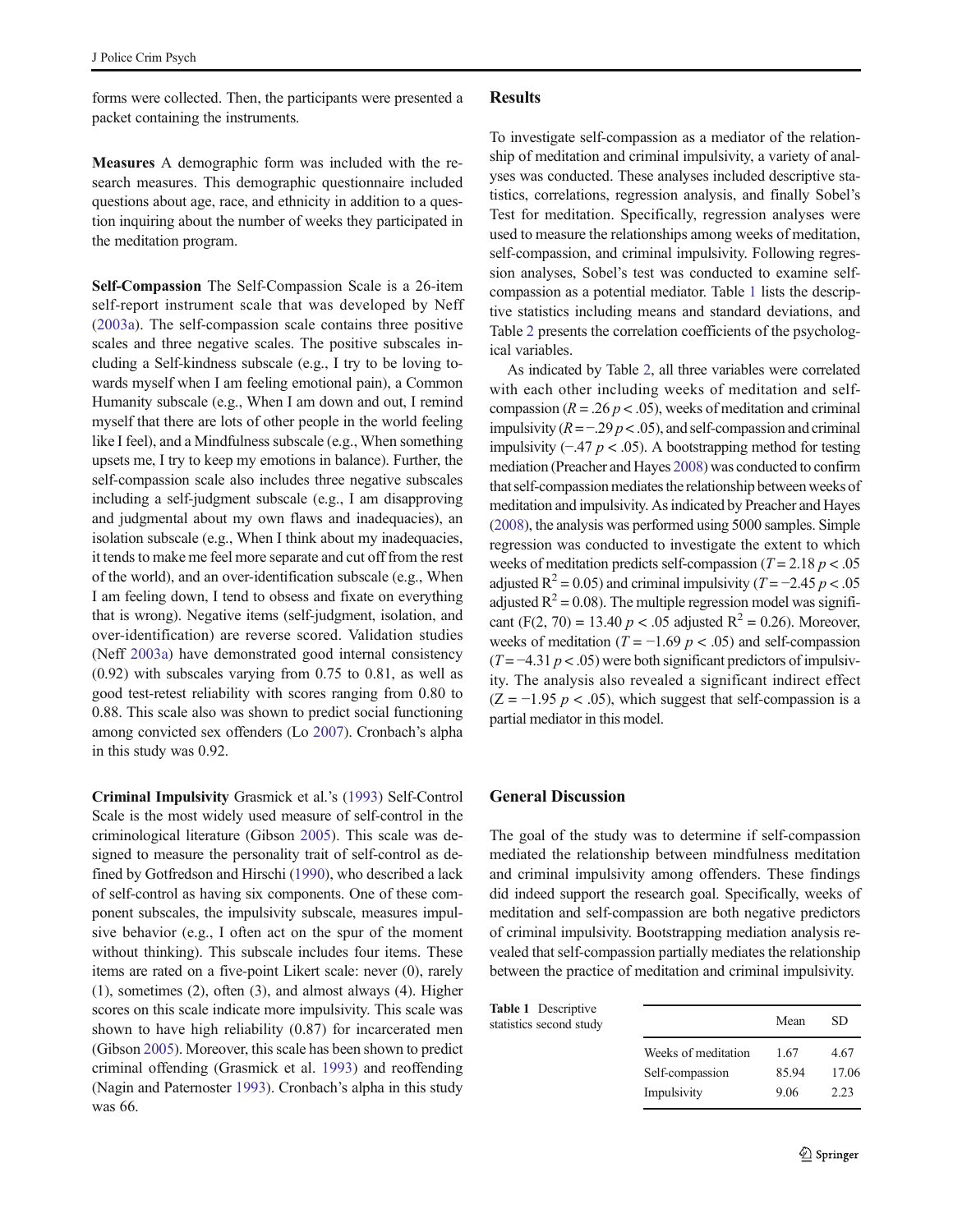forms were collected. Then, the participants were presented a packet containing the instruments.

Measures A demographic form was included with the research measures. This demographic questionnaire included questions about age, race, and ethnicity in addition to a question inquiring about the number of weeks they participated in the meditation program.

Self-Compassion The Self-Compassion Scale is a 26-item self-report instrument scale that was developed by Neff (2003a). The self-compassion scale contains three positive scales and three negative scales. The positive subscales including a Self-kindness subscale (e.g., I try to be loving towards myself when I am feeling emotional pain), a Common Humanity subscale (e.g., When I am down and out, I remind myself that there are lots of other people in the world feeling like I feel), and a Mindfulness subscale (e.g., When something upsets me, I try to keep my emotions in balance). Further, the self-compassion scale also includes three negative subscales including a self-judgment subscale (e.g., I am disapproving and judgmental about my own flaws and inadequacies), an isolation subscale (e.g., When I think about my inadequacies, it tends to make me feel more separate and cut off from the rest of the world), and an over-identification subscale (e.g., When I am feeling down, I tend to obsess and fixate on everything that is wrong). Negative items (self-judgment, isolation, and over-identification) are reverse scored. Validation studies (Neff 2003a) have demonstrated good internal consistency (0.92) with subscales varying from 0.75 to 0.81, as well as good test-retest reliability with scores ranging from 0.80 to 0.88. This scale also was shown to predict social functioning among convicted sex offenders (Lo 2007). Cronbach's alpha in this study was 0.92.

Criminal Impulsivity Grasmick et al.'s (1993) Self-Control Scale is the most widely used measure of self-control in the criminological literature (Gibson 2005). This scale was designed to measure the personality trait of self-control as defined by Gotfredson and Hirschi (1990), who described a lack of self-control as having six components. One of these component subscales, the impulsivity subscale, measures impulsive behavior (e.g., I often act on the spur of the moment without thinking). This subscale includes four items. These items are rated on a five-point Likert scale: never (0), rarely (1), sometimes (2), often (3), and almost always (4). Higher scores on this scale indicate more impulsivity. This scale was shown to have high reliability (0.87) for incarcerated men (Gibson 2005). Moreover, this scale has been shown to predict criminal offending (Grasmick et al. 1993) and reoffending (Nagin and Paternoster 1993). Cronbach's alpha in this study was 66.

### Results

To investigate self-compassion as a mediator of the relationship of meditation and criminal impulsivity, a variety of analyses was conducted. These analyses included descriptive statistics, correlations, regression analysis, and finally Sobel's Test for meditation. Specifically, regression analyses were used to measure the relationships among weeks of meditation, self-compassion, and criminal impulsivity. Following regression analyses, Sobel's test was conducted to examine selfcompassion as a potential mediator. Table 1 lists the descriptive statistics including means and standard deviations, and Table 2 presents the correlation coefficients of the psychological variables.

As indicated by Table 2, all three variables were correlated with each other including weeks of meditation and selfcompassion ( $R = .26 p < .05$ ), weeks of meditation and criminal impulsivity  $(R = -0.29 \, p < 0.05)$ , and self-compassion and criminal impulsivity (−.47  $p$  < .05). A bootstrapping method for testing mediation (Preacher and Hayes 2008) was conducted to confirm that self-compassion mediates the relationship between weeks of meditation and impulsivity. As indicated by Preacher and Hayes (2008), the analysis was performed using 5000 samples. Simple regression was conducted to investigate the extent to which weeks of meditation predicts self-compassion ( $T = 2.18 p < .05$ ) adjusted R<sup>2</sup> = 0.05) and criminal impulsivity ( $T = -2.45 p < .05$ adjusted  $R^2 = 0.08$ ). The multiple regression model was significant (F(2, 70) = 13.40  $p < .05$  adjusted R<sup>2</sup> = 0.26). Moreover, weeks of meditation ( $T = -1.69$   $p < .05$ ) and self-compassion  $(T = -4.31 \, p < .05)$  were both significant predictors of impulsivity. The analysis also revealed a significant indirect effect  $(Z = -1.95 \, p < .05)$ , which suggest that self-compassion is a partial mediator in this model.

#### General Discussion

The goal of the study was to determine if self-compassion mediated the relationship between mindfulness meditation and criminal impulsivity among offenders. These findings did indeed support the research goal. Specifically, weeks of meditation and self-compassion are both negative predictors of criminal impulsivity. Bootstrapping mediation analysis revealed that self-compassion partially mediates the relationship between the practice of meditation and criminal impulsivity.

| <b>Table 1</b> Descriptive<br>statistics second study |                     | Mean  | SD  |
|-------------------------------------------------------|---------------------|-------|-----|
|                                                       | Weeks of meditation | 1.67  | 4.6 |
|                                                       | Self-compassion     | 85.94 | 17. |
|                                                       | Impulsivity         | 9.06  | 2.2 |

 $1.67$  4.67 85.94 17.06 9.06 2.23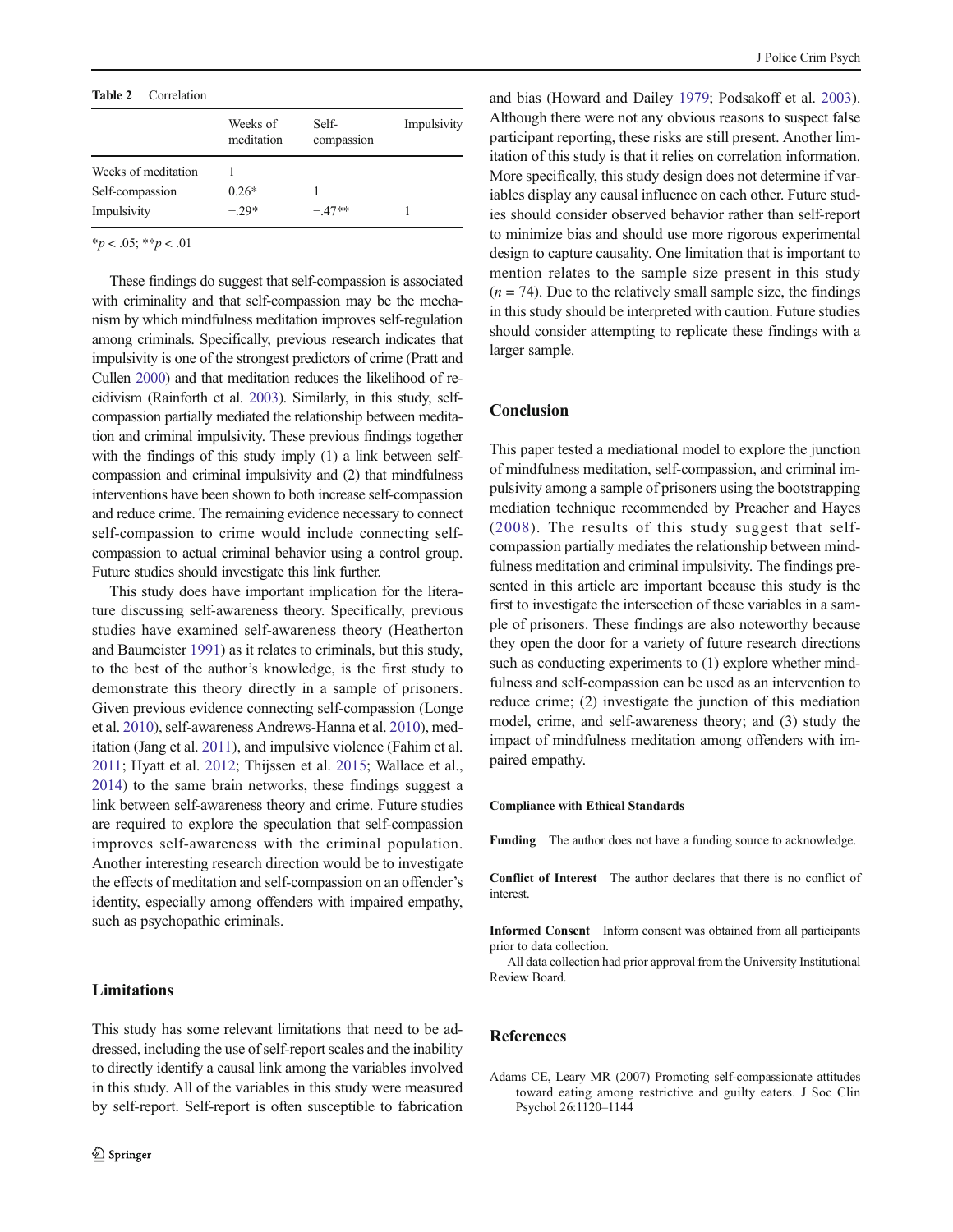#### Table 2 Correlation

|                     | Weeks of<br>meditation | Self-<br>compassion | Impulsivity |
|---------------------|------------------------|---------------------|-------------|
| Weeks of meditation |                        |                     |             |
| Self-compassion     | $0.26*$                |                     |             |
| Impulsivity         | $-29*$                 | $-47**$             |             |
|                     |                        |                     |             |

 $*_{p}$  < .05;  $*_{p}$  < .01

These findings do suggest that self-compassion is associated with criminality and that self-compassion may be the mechanism by which mindfulness meditation improves self-regulation among criminals. Specifically, previous research indicates that impulsivity is one of the strongest predictors of crime (Pratt and Cullen 2000) and that meditation reduces the likelihood of recidivism (Rainforth et al. 2003). Similarly, in this study, selfcompassion partially mediated the relationship between meditation and criminal impulsivity. These previous findings together with the findings of this study imply (1) a link between selfcompassion and criminal impulsivity and (2) that mindfulness interventions have been shown to both increase self-compassion and reduce crime. The remaining evidence necessary to connect self-compassion to crime would include connecting selfcompassion to actual criminal behavior using a control group. Future studies should investigate this link further.

This study does have important implication for the literature discussing self-awareness theory. Specifically, previous studies have examined self-awareness theory (Heatherton and Baumeister 1991) as it relates to criminals, but this study, to the best of the author's knowledge, is the first study to demonstrate this theory directly in a sample of prisoners. Given previous evidence connecting self-compassion (Longe et al. 2010), self-awareness Andrews-Hanna et al. 2010), meditation (Jang et al. 2011), and impulsive violence (Fahim et al. 2011; Hyatt et al. 2012; Thijssen et al. 2015; Wallace et al., 2014) to the same brain networks, these findings suggest a link between self-awareness theory and crime. Future studies are required to explore the speculation that self-compassion improves self-awareness with the criminal population. Another interesting research direction would be to investigate the effects of meditation and self-compassion on an offender's identity, especially among offenders with impaired empathy, such as psychopathic criminals.

#### Limitations

This study has some relevant limitations that need to be addressed, including the use of self-report scales and the inability to directly identify a causal link among the variables involved in this study. All of the variables in this study were measured by self-report. Self-report is often susceptible to fabrication

and bias (Howard and Dailey 1979; Podsakoff et al. 2003). Although there were not any obvious reasons to suspect false participant reporting, these risks are still present. Another limitation of this study is that it relies on correlation information. More specifically, this study design does not determine if variables display any causal influence on each other. Future studies should consider observed behavior rather than self-report to minimize bias and should use more rigorous experimental design to capture causality. One limitation that is important to mention relates to the sample size present in this study  $(n = 74)$ . Due to the relatively small sample size, the findings in this study should be interpreted with caution. Future studies should consider attempting to replicate these findings with a larger sample.

### **Conclusion**

This paper tested a mediational model to explore the junction of mindfulness meditation, self-compassion, and criminal impulsivity among a sample of prisoners using the bootstrapping mediation technique recommended by Preacher and Hayes (2008). The results of this study suggest that selfcompassion partially mediates the relationship between mindfulness meditation and criminal impulsivity. The findings presented in this article are important because this study is the first to investigate the intersection of these variables in a sample of prisoners. These findings are also noteworthy because they open the door for a variety of future research directions such as conducting experiments to  $(1)$  explore whether mindfulness and self-compassion can be used as an intervention to reduce crime; (2) investigate the junction of this mediation model, crime, and self-awareness theory; and (3) study the impact of mindfulness meditation among offenders with impaired empathy.

#### Compliance with Ethical Standards

Funding The author does not have a funding source to acknowledge.

Conflict of Interest The author declares that there is no conflict of interest.

Informed Consent Inform consent was obtained from all participants prior to data collection.

All data collection had prior approval from the University Institutional Review Board.

## References

Adams CE, Leary MR (2007) Promoting self-compassionate attitudes toward eating among restrictive and guilty eaters. J Soc Clin Psychol 26:1120–1144